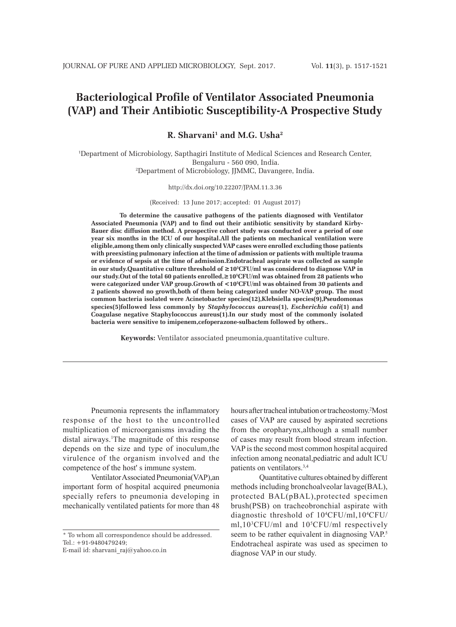# **Bacteriological Profile of Ventilator Associated Pneumonia (VAP) and Their Antibiotic Susceptibility-A Prospective Study**

**R. Sharvani1 and M.G. Usha2**

1 Department of Microbiology, Sapthagiri Institute of Medical Sciences and Research Center, Bengaluru - 560 090, India. 2 Department of Microbiology, JJMMC, Davangere, India.

#### http://dx.doi.org/10.22207/JPAM.11.3.36

(Received: 13 June 2017; accepted: 01 August 2017)

**To determine the causative pathogens of the patients diagnosed with Ventilator Associated Pneumonia (VAP) and to find out their antibiotic sensitivity by standard Kirby-Bauer disc diffusion method. A prospective cohort study was conducted over a period of one year six months in the ICU of our hospital.All the patients on mechanical ventilation were eligible,among them only clinically suspected VAP cases were enrolled excluding those patients with preexisting pulmonary infection at the time of admission or patients with multiple trauma or evidence of sepsis at the time of admission.Endotracheal aspirate was collected as sample in our study.Quantitative culture threshold of ≥10<sup>5</sup> CFU/ml was considered to diagnose VAP in our study.Out of the total 60 patients enrolled,≥10<sup>5</sup> CFU/ml was obtained from 28 patients who were categorized under VAP group.Growth of <10<sup>5</sup> CFU/ml was obtained from 30 patients and 2 patients showed no growth,both of them being categorized under NO-VAP group. The most common bacteria isolated were Acinetobacter species(12),Klebsiella species(9),Pseudomonas species(5)followed less commonly by** *Staphylococcus aureus***(1),** *Escherichia coli***(1) and Coagulase negative Staphylococcus aureus(1).In our study most of the commonly isolated bacteria were sensitive to imipenem,cefoperazone-sulbactem followed by others..**

**Keywords:** Ventilator associated pneumonia,quantitative culture.

Pneumonia represents the inflammatory response of the host to the uncontrolled multiplication of microorganisms invading the distal airways.<sup>1</sup>The magnitude of this response depends on the size and type of inoculum,the virulence of the organism involved and the competence of the host' s immune system.

Ventilator Associated Pneumonia(VAP),an important form of hospital acquired pneumonia specially refers to pneumonia developing in mechanically ventilated patients for more than 48

\* To whom all correspondence should be addressed. Tel.: +91-9480479249;

E-mail id: sharvani\_raj@yahoo.co.in

hours after tracheal intubation or tracheostomy.2 Most cases of VAP are caused by aspirated secretions from the oropharynx,although a small number of cases may result from blood stream infection. VAP is the second most common hospital acquired infection among neonatal,pediatric and adult ICU patients on ventilators.3,4

Quantitative cultures obtained by different methods including bronchoalveolar lavage(BAL), protected BAL(pBAL),protected specimen brush(PSB) on tracheobronchial aspirate with diagnostic threshold of 104 CFU/ml,104 CFU/ ml,103 CFU/ml and 105 CFU/ml respectively seem to be rather equivalent in diagnosing VAP.<sup>5</sup> Endotracheal aspirate was used as specimen to diagnose VAP in our study.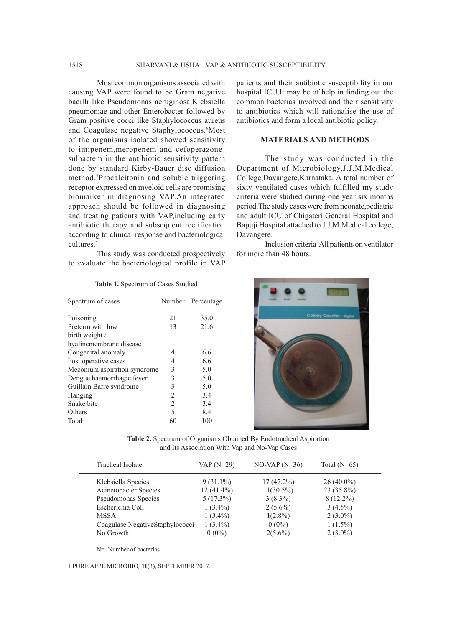Most common organisms associated with causing VAP were found to be Gram negative bacilli like Pseudomonas aeruginosa,Klebsiella pneumoniae and other Enterobacter followed by Gram positive cocci like Staphylococcus aureus and Coagulase negative Staphylococcus.<sup>6</sup>Most of the organisms isolated showed sensitivity to imipenem,meropenem and cefoperazonesulbactem in the antibiotic sensitivity pattern done by standard Kirby-Bauer disc diffusion method.7 Procalcitonin and soluble triggering receptor expressed on myeloid cells are promising biomarker in diagnosing VAP.An integrated approach should be followed in diagnosing and treating patients with VAP,including early antibiotic therapy and subsequent rectification according to clinical response and bacteriological cultures.<sup>5</sup>

This study was conducted prospectively to evaluate the bacteriological profile in VAP

| Spectrum of cases            |                | Number Percentage |
|------------------------------|----------------|-------------------|
| Poisoning                    | 21             | 35.0              |
| Preterm with low             | 13             | 21.6              |
| birth weight /               |                |                   |
| hyalinemembrane disease      |                |                   |
| Congenital anomaly           | 4              | 6.6               |
| Post operative cases         | 4              | 6.6               |
| Meconium aspiration syndrome | 3              | 5.0               |
| Dengue haemorrhagic fever    | 3              | 5.0               |
| Guillain Barre syndrome      | 3              | 5.0               |
| Hanging                      | $\overline{c}$ | 3.4               |
| Snake bite                   | 2              | 3.4               |
| Others                       | 5              | 8.4               |
| Total                        | 60             | 100               |

**Table 1.** Spectrum of Cases Studied

patients and their antibiotic susceptibility in our hospital ICU.It may be of help in finding out the common bacterias involved and their sensitivity to antibiotics which will rationalise the use of antibiotics and form a local antibiotic policy.

## **MATERIALS AND METHODS**

The study was conducted in the Department of Microbiology,J.J.M.Medical College,Davangere,Karnataka. A total number of sixty ventilated cases which fulfilled my study criteria were studied during one year six months period.The study cases were from neonate,pediatric and adult ICU of Chigateri General Hospital and Bapuji Hospital attached to J.J.M.Medical college, Davangere.

Inclusion criteria-All patients on ventilator for more than 48 hours.



**Table 2.** Spectrum of Organisms Obtained By Endotracheal Aspiration and Its Association With Vap and No-Vap Cases

| Tracheal Isolate                | $VAP(N=29)$  | $NO-VAP (N=36)$ | Total $(N=65)$ |  |
|---------------------------------|--------------|-----------------|----------------|--|
| Klebsiella Species              | $9(31.1\%)$  | $17(47.2\%)$    | $26(40.0\%)$   |  |
| Acinetobacter Species           | $12(41.4\%)$ | $11(30.5\%)$    | 23 (35.8%)     |  |
| Pseudomonas Species             | $5(17.3\%)$  | $3(8.3\%)$      | $8(12.2\%)$    |  |
| Escherichia Coli                | $1(3.4\%)$   | $2(5.6\%)$      | $3(4.5\%)$     |  |
| <b>MSSA</b>                     | $1(3.4\%)$   | $1(2.8\%)$      | $2(3.0\%)$     |  |
| Coagulase NegativeStaphylococci | $1(3.4\%)$   | $0(0\%)$        | $1(1.5\%)$     |  |
| No Growth                       | $0(0\%)$     | $2(5.6\%)$      | $2(3.0\%)$     |  |
|                                 |              |                 |                |  |

N= Number of bacterias

J PURE APPL MICROBIO*,* **11**(3), SEPTEMBER 2017.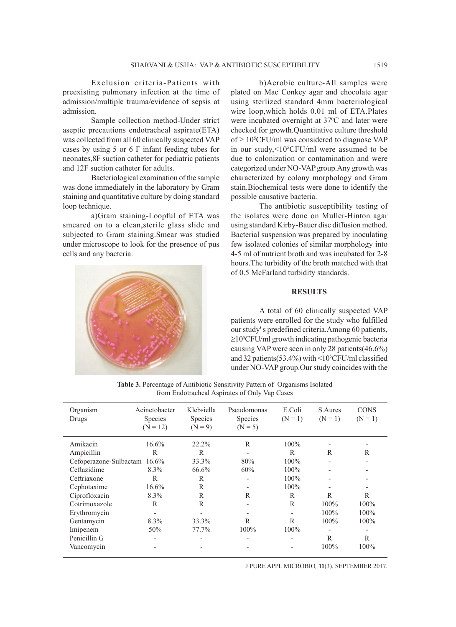Exclusion criteria-Patients with preexisting pulmonary infection at the time of admission/multiple trauma/evidence of sepsis at admission.

Sample collection method-Under strict aseptic precautions endotracheal aspirate(ETA) was collected from all 60 clinically suspected VAP cases by using 5 or 6 F infant feeding tubes for neonates,8F suction catheter for pediatric patients and 12F suction catheter for adults.

Bacteriological examination of the sample was done immediately in the laboratory by Gram staining and quantitative culture by doing standard loop technique.

a)Gram staining-Loopful of ETA was smeared on to a clean,sterile glass slide and subjected to Gram staining.Smear was studied under microscope to look for the presence of pus cells and any bacteria.



b)Aerobic culture-All samples were plated on Mac Conkey agar and chocolate agar using sterlized standard 4mm bacteriological wire loop,which holds 0.01 ml of ETA.Plates were incubated overnight at 37<sup>o</sup>C and later were checked for growth.Quantitative culture threshold of  $\geq 10^5$ CFU/ml was considered to diagnose VAP in our study,<105 CFU/ml were assumed to be due to colonization or contamination and were categorized under NO-VAP group.Any growth was characterized by colony morphology and Gram stain.Biochemical tests were done to identify the possible causative bacteria.

The antibiotic susceptibility testing of the isolates were done on Muller-Hinton agar using standard Kirby-Bauer disc diffusion method. Bacterial suspension was prepared by inoculating few isolated colonies of similar morphology into 4-5 ml of nutrient broth and was incubated for 2-8 hours.The turbidity of the broth matched with that of 0.5 McFarland turbidity standards.

# **RESULTS**

A total of 60 clinically suspected VAP patients were enrolled for the study who fulfilled our study' s predefined criteria.Among 60 patients, ≥105 CFU/ml growth indicating pathogenic bacteria causing VAP were seen in only 28 patients(46.6%) and 32 patients(53.4%) with <105 CFU/ml classified under NO-VAP group.Our study coincides with the

**Table 3.** Percentage of Antibiotic Sensitivity Pattern of Organisms Isolated from Endotracheal Aspirates of Only Vap Cases

| Organism<br>Drugs      | Acinetobacter<br><b>Species</b><br>$(N = 12)$ | Klebsiella<br>Species<br>$(N = 9)$ | Pseudomonas<br>Species<br>$(N = 5)$ | E.Coli<br>$(N = 1)$      | S.Aures<br>$(N = 1)$         | <b>CONS</b><br>$(N = 1)$ |
|------------------------|-----------------------------------------------|------------------------------------|-------------------------------------|--------------------------|------------------------------|--------------------------|
| Amikacin               | $16.6\%$                                      | $22.2\%$                           | R                                   | $100\%$                  |                              |                          |
| Ampicillin             | R                                             | R                                  | $\overline{\phantom{0}}$            | R                        | R                            | R                        |
| Cefoperazone-Sulbactam | 16.6%                                         | 33.3%                              | 80%                                 | $100\%$                  | $\overline{\phantom{0}}$     | $\overline{a}$           |
| Ceftazidime            | 8.3%                                          | 66.6%                              | 60%                                 | 100%                     | $\overline{\phantom{0}}$     |                          |
| Ceftriaxone            | R                                             | R                                  | -                                   | 100%                     |                              |                          |
| Cephotaxime            | 16.6%                                         | R                                  | $\qquad \qquad \blacksquare$        | 100%                     | $\qquad \qquad \blacksquare$ |                          |
| Ciprofloxacin          | 8.3%                                          | R                                  | R                                   | R                        | R                            | R                        |
| Cotrimoxazole          | R                                             | R                                  | $\overline{\phantom{0}}$            | R                        | 100%                         | 100%                     |
| Erythromycin           | $\overline{\phantom{0}}$                      |                                    | $\overline{\phantom{a}}$            | $\overline{\phantom{a}}$ | 100%                         | 100%                     |
| Gentamycin             | 8.3%                                          | 33.3%                              | $\mathbb{R}$                        | $\mathbb{R}$             | 100%                         | 100%                     |
| Imipenem               | 50%                                           | 77.7%                              | $100\%$                             | $100\%$                  | $\overline{\phantom{0}}$     | $\overline{a}$           |
| Penicillin G           |                                               |                                    | -                                   |                          | R                            | R                        |
| Vancomycin             |                                               |                                    |                                     |                          | 100%                         | 100%                     |

J PURE APPL MICROBIO*,* **11**(3), SEPTEMBER 2017.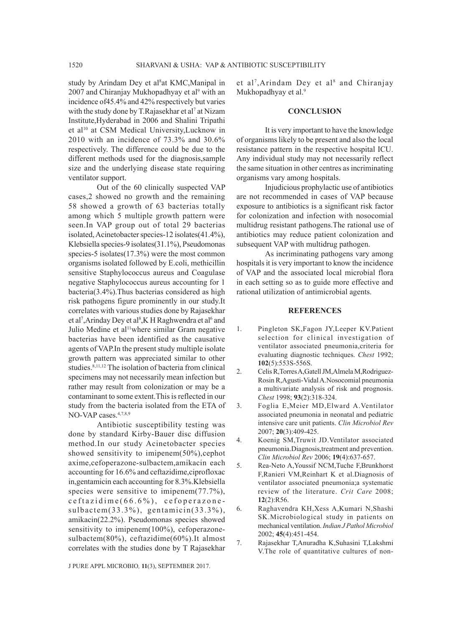study by Arindam Dey et al<sup>8</sup>at KMC, Manipal in 2007 and Chiranjay Mukhopadhyay et al<sup>9</sup> with an incidence of45.4% and 42% respectively but varies with the study done by T.Rajasekhar et al<sup>7</sup> at Nizam Institute,Hyderabad in 2006 and Shalini Tripathi et al<sup>10</sup> at CSM Medical University,Lucknow in 2010 with an incidence of 73.3% and 30.6% respectively. The difference could be due to the different methods used for the diagnosis,sample size and the underlying disease state requiring ventilator support.

Out of the 60 clinically suspected VAP cases,2 showed no growth and the remaining 58 showed a growth of 63 bacterias totally among which 5 multiple growth pattern were seen.In VAP group out of total 29 bacterias isolated, Acinetobacter species-12 isolates(41.4%), Klebsiella species-9 isolates(31.1%), Pseudomonas species-5 isolates(17.3%) were the most common organisms isolated followed by E.coli, methicillin sensitive Staphylococcus aureus and Coagulase negative Staphylococcus aureus accounting for 1 bacteria(3.4%).Thus bacterias considered as high risk pathogens figure prominently in our study.It correlates with various studies done by Rajasekhar et al<sup>7</sup>, Arinday Dey et al<sup>8</sup>, K H Raghwendra et al<sup>6</sup> and Julio Medine et al<sup>11</sup>where similar Gram negative bacterias have been identified as the causative agents of VAP.In the present study multiple isolate growth pattern was appreciated similar to other studies.<sup>8,11,12</sup> The isolation of bacteria from clinical specimens may not necessarily mean infection but rather may result from colonization or may be a contaminant to some extent.This is reflected in our study from the bacteria isolated from the ETA of NO-VAP cases.<sup>4,7,8,9</sup>

Antibiotic susceptibility testing was done by standard Kirby-Bauer disc diffusion method.In our study Acinetobacter species showed sensitivity to imipenem(50%), cephot axime,cefoperazone-sulbactem,amikacin each accounting for 16.6% and ceftazidime,ciprofloxac in,gentamicin each accounting for 8.3%.Klebsiella species were sensitive to imipenem $(77.7\%)$ ,  $c$  e f t a z i d i m e  $(66.6\%)$ , c e f o p e r a z o n e sulbactem(33.3%), gentamicin(33.3%), amikacin(22.2%). Pseudomonas species showed sensitivity to imipenem(100%), cefoperazonesulbactem(80%), ceftazidime(60%).It almost correlates with the studies done by T Rajasekhar et al<sup>7</sup>, Arindam Dey et al<sup>8</sup> and Chiranjay Mukhopadhyay et al.<sup>9</sup>

### **CONCLUSION**

It is very important to have the knowledge of organisms likely to be present and also the local resistance pattern in the respective hospital ICU. Any individual study may not necessarily reflect the same situation in other centres as incriminating organisms vary among hospitals.

Injudicious prophylactic use of antibiotics are not recommended in cases of VAP because exposure to antibiotics is a significant risk factor for colonization and infection with nosocomial multidrug resistant pathogens.The rational use of antibiotics may reduce patient colonization and subsequent VAP with multidrug pathogen.

As incriminating pathogens vary among hospitals it is very important to know the incidence of VAP and the associated local microbial flora in each setting so as to guide more effective and rational utilization of antimicrobial agents.

### **REFERENCES**

- 1. Pingleton SK,Fagon JY,Leeper KV.Patient selection for clinical investigation of ventilator associated pneumonia,criteria for evaluating diagnostic techniques. *Chest* 1992; **102**(5):553S-556S.
- 2. Celis R,Torres A,Gatell JM,Almela M,Rodriguez-Rosin R,Agusti-Vidal A.Nosocomial pneumonia a multivariate analysis of risk and prognosis. *Chest* 1998; **93**(2):318-324.
- 3. Foglia E,Meier MD,Elward A.Ventilator associated pneumonia in neonatal and pediatric intensive care unit patients. *Clin Microbiol Rev*  2007; **20**(3):409-425.
- 4. Koenig SM,Truwit JD.Ventilator associated pneumonia.Diagnosis,treatment and prevention. *Clin Microbiol Rev* 2006; **19**(4):637-657.
- 5. Rea-Neto A,Youssif NCM,Tuche F,Brunkhorst F,Ranieri VM,Reinhart K et al.Diagnosis of ventilator associated pneumonia;a systematic review of the literature. *Crit Care* 2008; **12**(2):R56.
- 6. Raghavendra KH,Xess A,Kumari N,Shashi SK.Microbiological study in patients on mechanical ventilation. *Indian J Pathol Microbiol*  2002; **45**(4):451-454.
- 7. Rajasekhar T,Anuradha K,Suhasini T,Lakshmi V.The role of quantitative cultures of non-

J PURE APPL MICROBIO*,* **11**(3), SEPTEMBER 2017.